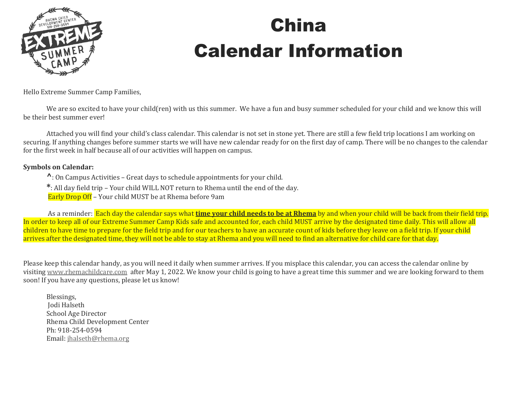

## China Calendar Information

Hello Extreme Summer Camp Families,

We are so excited to have your child(ren) with us this summer. We have a fun and busy summer scheduled for your child and we know this will be their best summer ever!

Attached you will find your child's class calendar. This calendar is not set in stone yet. There are still a few field trip locations I am working on securing. If anything changes before summer starts we will have new calendar ready for on the first day of camp. There will be no changes to the calendar for the first week in half because all of our activities will happen on campus.

#### **Symbols on Calendar:**

**^**: On Campus Activities – Great days to schedule appointments for your child.

**\***: All day field trip – Your child WILL NOT return to Rhema until the end of the day.

Early Drop Off – Your child MUST be at Rhema before 9am

As a reminder: Each day the calendar says what **time your child needs to be at Rhema** by and when your child will be back from their field trip. In order to keep all of our Extreme Summer Camp Kids safe and accounted for, each child MUST arrive by the designated time daily. This will allow all children to have time to prepare for the field trip and for our teachers to have an accurate count of kids before they leave on a field trip. If your child arrives after the designated time, they will not be able to stay at Rhema and you will need to find an alternative for child care for that day.

Please keep this calendar handy, as you will need it daily when summer arrives. If you misplace this calendar, you can access the calendar online by visiting [www.rhemachildcare.com](http://www.rhemachildcare.com/) after May 1, 2022. We know your child is going to have a great time this summer and we are looking forward to them soon! If you have any questions, please let us know!

Blessings, Jodi Halseth School Age Director Rhema Child Development Center Ph: 918-254-0594 Email: [jhalseth@rhema.org](mailto:jhalseth@rhema.org)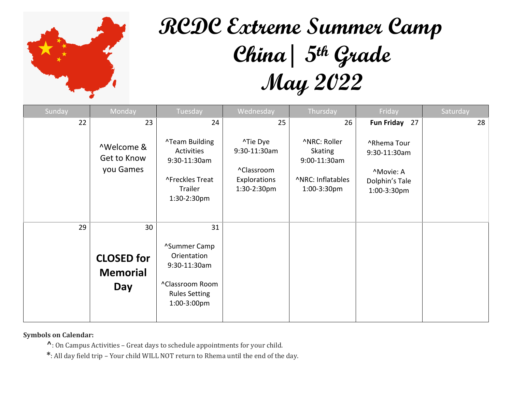

# **RCDC Extreme Summer Camp China| 5th Grade May 2022**

| Sunday | Monday                                      | Tuesday                                                                                               | Wednesday                                                             | Thursday                                                                           | Friday                                                                    | Saturday |
|--------|---------------------------------------------|-------------------------------------------------------------------------------------------------------|-----------------------------------------------------------------------|------------------------------------------------------------------------------------|---------------------------------------------------------------------------|----------|
| 22     | 23                                          | 24                                                                                                    | 25                                                                    | 26                                                                                 | Fun Friday 27                                                             | 28       |
|        | ^Welcome &<br>Get to Know<br>you Games      | <b>^Team Building</b><br>Activities<br>9:30-11:30am<br>^Freckles Treat<br>Trailer<br>1:30-2:30pm      | ^Tie Dye<br>9:30-11:30am<br>^Classroom<br>Explorations<br>1:30-2:30pm | ^NRC: Roller<br><b>Skating</b><br>9:00-11:30am<br>^NRC: Inflatables<br>1:00-3:30pm | ^Rhema Tour<br>9:30-11:30am<br>^Movie: A<br>Dolphin's Tale<br>1:00-3:30pm |          |
| 29     | 30                                          | 31                                                                                                    |                                                                       |                                                                                    |                                                                           |          |
|        | <b>CLOSED for</b><br><b>Memorial</b><br>Day | ^Summer Camp<br>Orientation<br>9:30-11:30am<br>^Classroom Room<br><b>Rules Setting</b><br>1:00-3:00pm |                                                                       |                                                                                    |                                                                           |          |

**Symbols on Calendar:** 

**^**: On Campus Activities – Great days to schedule appointments for your child.

**\***: All day field trip – Your child WILL NOT return to Rhema until the end of the day.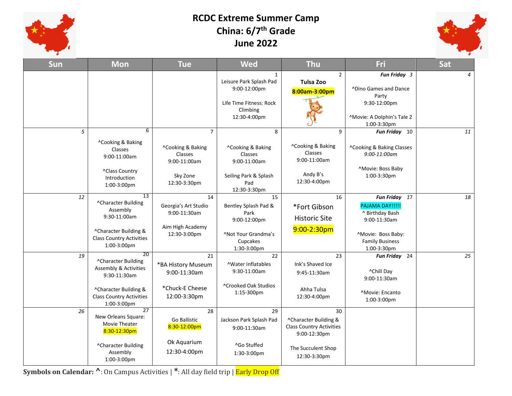

#### **RCDC Extreme Summer Camp China: 6/7th Grade June 2022**



| Sun | <b>Mon</b>                                                                                                                                    | <b>Tue</b>                                                                                        | <b>Wed</b>                                                                                                     | <b>Thu</b>                                                                                                           | Fri                                                                                                                                | Sat            |
|-----|-----------------------------------------------------------------------------------------------------------------------------------------------|---------------------------------------------------------------------------------------------------|----------------------------------------------------------------------------------------------------------------|----------------------------------------------------------------------------------------------------------------------|------------------------------------------------------------------------------------------------------------------------------------|----------------|
|     |                                                                                                                                               |                                                                                                   | $\mathbf{1}$<br>Leisure Park Splash Pad<br>9:00-12:00pm<br>Life Time Fitness: Rock<br>Climbing<br>12:30-4:00pm | $\overline{2}$<br><b>Tulsa Zoo</b><br>8:00am-3:00pm                                                                  | Fun Friday 3<br>^Dino Games and Dance<br>Party<br>9:30-12:00pm<br>^Movie: A Dolphin's Tale 2<br>1:00-3:30pm                        | $\overline{4}$ |
| 5   | 6<br>^Cooking & Baking<br>Classes<br>9:00-11:00am<br>^Class Country<br>Introduction<br>1:00-3:00pm                                            | $\overline{7}$<br>^Cooking & Baking<br><b>Classes</b><br>9:00-11:00am<br>Sky Zone<br>12:30-3:30pm | 8<br>^Cooking & Baking<br>Classes<br>9:00-11:00am<br>Seiling Park & Splash<br>Pad<br>12:30-3:30pm              | 9<br>^Cooking & Baking<br><b>Classes</b><br>9:00-11:00am<br>Andy B's<br>12:30-4:00pm                                 | Fun Friday 10<br>^Cooking & Baking Classes<br>9:00-11:00am<br>^Movie: Boss Baby<br>1:00-3:30pm                                     | 11             |
| 12  | 13<br>^Character Building<br>Assembly<br>9:30-11:00am<br>^Character Building &<br><b>Class Country Activities</b><br>1:00-3:00pm              | 14<br>Georgia's Art Studio<br>9:00-11:30am<br>Aim High Academy<br>12:30-3:00pm                    | 15<br>Bentley Splash Pad &<br>Park<br>9:00-12:00pm<br>^Not Your Grandma's<br>Cupcakes<br>1:30-3:00pm           | 16<br>*Fort Gibson<br><b>Historic Site</b><br>$9:00-2:30$ pm                                                         | Fun Friday 17<br>PAJAMA DAY!!!!!<br>^ Birthday Bash<br>9:00-11:30am<br>^Movie: Boss Baby:<br><b>Family Business</b><br>1:00-3:30pm | 18             |
| 19  | 20<br>^Character Building<br>Assembly & Activities<br>9:30-11:30am<br>^Character Building &<br><b>Class Country Activities</b><br>1:00-3:00pm | 21<br>*BA History Museum<br>9:00-11:30am<br>*Chuck-E Cheese<br>12:00-3:30pm                       | 22<br>^Water Inflatables<br>9:30-11:00am<br>^Crooked Oak Studios<br>$1:15-300$ pm                              | 23<br>Ink's Shaved Ice<br>9:45-11:30am<br>Ahha Tulsa<br>12:30-4:00pm                                                 | Fun Friday 24<br>^Chill Day<br>9:00-11:30am<br>^Movie: Encanto<br>1:00-3:00pm                                                      | 25             |
| 26  | $\overline{27}$<br>New Orleans Square:<br><b>Movie Theater</b><br>8:30-12:30pm<br>^Character Building<br>Assembly<br>1:00-3:00pm              | 28<br>Go Ballistic<br>8:30-12:00pm<br>Ok Aquarium<br>12:30-4:00pm                                 | 29<br>Jackson Park Splash Pad<br>9:00-11:30am<br>^Go Stuffed<br>1:30-3:00pm                                    | 30<br>^Character Building &<br><b>Class Country Activities</b><br>9:00-12:30pm<br>The Succulent Shop<br>12:30-3:30pm |                                                                                                                                    |                |

**Symbols on Calendar: ^**: On Campus Activities | **\***: All day field trip | Early Drop Off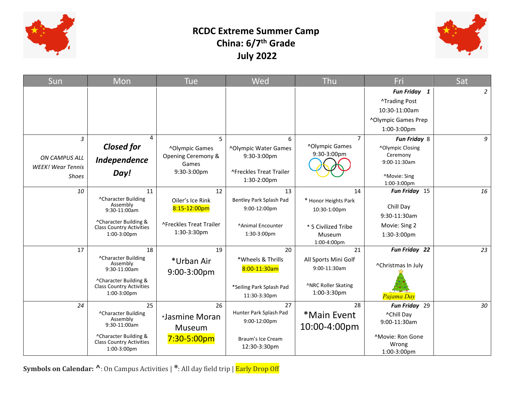

### **RCDC Extreme Summer Camp China: 6/7th Grade July 2022**



| Sun                                                            | Mon                                                                                                                              | <b>Tue</b>                                                                       | Wed                                                                                       | Thu                                                                                        | Fri                                                                                                     | Sat            |
|----------------------------------------------------------------|----------------------------------------------------------------------------------------------------------------------------------|----------------------------------------------------------------------------------|-------------------------------------------------------------------------------------------|--------------------------------------------------------------------------------------------|---------------------------------------------------------------------------------------------------------|----------------|
|                                                                |                                                                                                                                  |                                                                                  |                                                                                           |                                                                                            | Fun Friday 1<br><b>^Trading Post</b><br>10:30-11:00am<br><sup>^</sup> Olympic Games Prep<br>1:00-3:00pm | $\overline{2}$ |
| 3<br>ON CAMPUS ALL<br><b>WEEK!</b> Wear Tennis<br><b>Shoes</b> | 4<br><b>Closed for</b><br>Independence<br>Day!                                                                                   | 5<br><b>^Olympic Games</b><br>Opening Ceremony &<br>Games<br>9:30-3:00pm         | 6<br><b>^Olympic Water Games</b><br>9:30-3:00pm<br>^Freckles Treat Trailer<br>1:30-2:00pm | $\overline{7}$<br><sup>^</sup> Olympic Games<br>9:30-3:00pm                                | Fun Friday 8<br>^Olympic Closing<br>Ceremony<br>9:00-11:30am<br>^Movie: Sing<br>1:00-3:00pm             | 9              |
| 10                                                             | 11<br>^Character Building<br>Assembly<br>9:30-11:00am<br>^Character Building &<br><b>Class Country Activities</b><br>1:00-3:00pm | 12<br>Oiler's Ice Rink<br>8:15-12:00pm<br>^Freckles Treat Trailer<br>1:30-3:30pm | 13<br>Bentley Park Splash Pad<br>9:00-12:00pm<br>^Animal Encounter<br>1:30-3:00pm         | 14<br>* Honor Heights Park<br>10:30-1:00pm<br>* 5 Civilized Tribe<br>Museum<br>1:00-4:00pm | Fun Friday 15<br>Chill Day<br>9:30-11:30am<br>Movie: Sing 2<br>1:30-3:00pm                              | 16             |
| 17                                                             | 18<br>^Character Building<br>Assembly<br>9:30-11:00am<br>^Character Building &<br><b>Class Country Activities</b><br>1:00-3:00pm | 19<br>*Urban Air<br>9:00-3:00pm                                                  | 20<br>*Wheels & Thrills<br>8:00-11:30am<br>*Seiling Park Splash Pad<br>11:30-3:30pm       | 21<br>All Sports Mini Golf<br>9:00-11:30am<br>^NRC Roller Skating<br>1:00-3:30pm           | Fun Friday 22<br>^Christmas In July<br>Pajama Day                                                       | 23             |
| 24                                                             | 25<br>^Character Building<br>Assembly<br>9:30-11:00am<br>^Character Building &<br><b>Class Country Activities</b><br>1:00-3:00pm | 26<br>*Jasmine Moran<br>Museum<br>$7:30 - 5:00pm$                                | 27<br>Hunter Park Splash Pad<br>9:00-12:00pm<br>Braum's Ice Cream<br>12:30-3:30pm         | 28<br>*Main Event<br>10:00-4:00pm                                                          | Fun Friday 29<br>^Chill Day<br>9:00-11:30am<br><sup>^</sup> Movie: Ron Gone<br>Wrong<br>1:00-3:00pm     | 30             |

**Symbols on Calendar: ^**: On Campus Activities | **\***: All day field trip | Early Drop Off